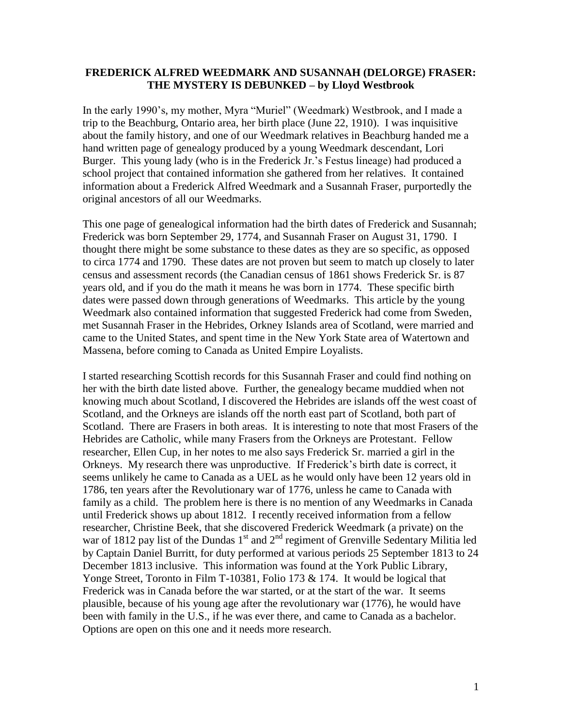## **FREDERICK ALFRED WEEDMARK AND SUSANNAH (DELORGE) FRASER: THE MYSTERY IS DEBUNKED – by Lloyd Westbrook**

In the early 1990's, my mother, Myra "Muriel" (Weedmark) Westbrook, and I made a trip to the Beachburg, Ontario area, her birth place (June 22, 1910). I was inquisitive about the family history, and one of our Weedmark relatives in Beachburg handed me a hand written page of genealogy produced by a young Weedmark descendant, Lori Burger. This young lady (who is in the Frederick Jr.'s Festus lineage) had produced a school project that contained information she gathered from her relatives. It contained information about a Frederick Alfred Weedmark and a Susannah Fraser, purportedly the original ancestors of all our Weedmarks.

This one page of genealogical information had the birth dates of Frederick and Susannah; Frederick was born September 29, 1774, and Susannah Fraser on August 31, 1790. I thought there might be some substance to these dates as they are so specific, as opposed to circa 1774 and 1790. These dates are not proven but seem to match up closely to later census and assessment records (the Canadian census of 1861 shows Frederick Sr. is 87 years old, and if you do the math it means he was born in 1774. These specific birth dates were passed down through generations of Weedmarks. This article by the young Weedmark also contained information that suggested Frederick had come from Sweden, met Susannah Fraser in the Hebrides, Orkney Islands area of Scotland, were married and came to the United States, and spent time in the New York State area of Watertown and Massena, before coming to Canada as United Empire Loyalists.

I started researching Scottish records for this Susannah Fraser and could find nothing on her with the birth date listed above. Further, the genealogy became muddied when not knowing much about Scotland, I discovered the Hebrides are islands off the west coast of Scotland, and the Orkneys are islands off the north east part of Scotland, both part of Scotland. There are Frasers in both areas. It is interesting to note that most Frasers of the Hebrides are Catholic, while many Frasers from the Orkneys are Protestant. Fellow researcher, Ellen Cup, in her notes to me also says Frederick Sr. married a girl in the Orkneys. My research there was unproductive. If Frederick's birth date is correct, it seems unlikely he came to Canada as a UEL as he would only have been 12 years old in 1786, ten years after the Revolutionary war of 1776, unless he came to Canada with family as a child. The problem here is there is no mention of any Weedmarks in Canada until Frederick shows up about 1812. I recently received information from a fellow researcher, Christine Beek, that she discovered Frederick Weedmark (a private) on the war of 1812 pay list of the Dundas  $1<sup>st</sup>$  and  $2<sup>nd</sup>$  regiment of Grenville Sedentary Militia led by Captain Daniel Burritt, for duty performed at various periods 25 September 1813 to 24 December 1813 inclusive. This information was found at the York Public Library, Yonge Street, Toronto in Film T-10381, Folio 173 & 174. It would be logical that Frederick was in Canada before the war started, or at the start of the war. It seems plausible, because of his young age after the revolutionary war (1776), he would have been with family in the U.S., if he was ever there, and came to Canada as a bachelor. Options are open on this one and it needs more research.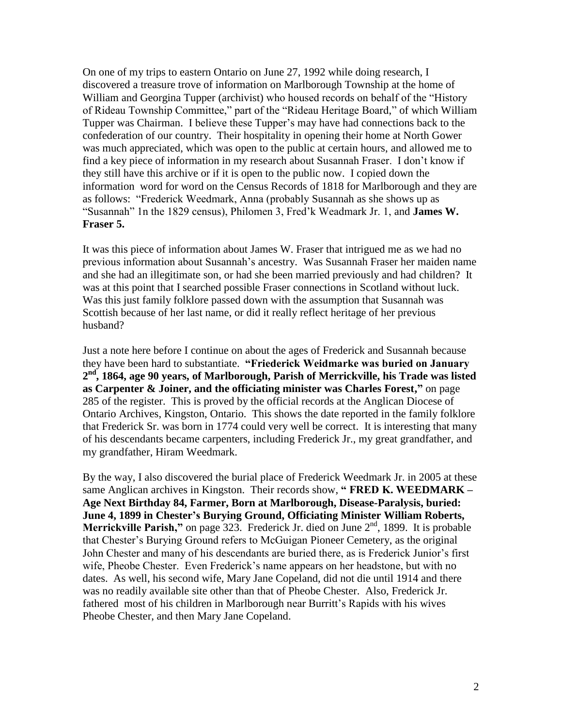On one of my trips to eastern Ontario on June 27, 1992 while doing research, I discovered a treasure trove of information on Marlborough Township at the home of William and Georgina Tupper (archivist) who housed records on behalf of the "History of Rideau Township Committee," part of the "Rideau Heritage Board," of which William Tupper was Chairman. I believe these Tupper's may have had connections back to the confederation of our country. Their hospitality in opening their home at North Gower was much appreciated, which was open to the public at certain hours, and allowed me to find a key piece of information in my research about Susannah Fraser. I don't know if they still have this archive or if it is open to the public now. I copied down the information word for word on the Census Records of 1818 for Marlborough and they are as follows: "Frederick Weedmark, Anna (probably Susannah as she shows up as "Susannah" 1n the 1829 census), Philomen 3, Fred'k Weadmark Jr. 1, and **James W. Fraser 5.**

It was this piece of information about James W. Fraser that intrigued me as we had no previous information about Susannah's ancestry. Was Susannah Fraser her maiden name and she had an illegitimate son, or had she been married previously and had children? It was at this point that I searched possible Fraser connections in Scotland without luck. Was this just family folklore passed down with the assumption that Susannah was Scottish because of her last name, or did it really reflect heritage of her previous husband?

Just a note here before I continue on about the ages of Frederick and Susannah because they have been hard to substantiate. **―Friederick Weidmarke was buried on January 2 nd, 1864, age 90 years, of Marlborough, Parish of Merrickville, his Trade was listed as Carpenter & Joiner, and the officiating minister was Charles Forest,"** on page 285 of the register. This is proved by the official records at the Anglican Diocese of Ontario Archives, Kingston, Ontario. This shows the date reported in the family folklore that Frederick Sr. was born in 1774 could very well be correct. It is interesting that many of his descendants became carpenters, including Frederick Jr., my great grandfather, and my grandfather, Hiram Weedmark.

By the way, I also discovered the burial place of Frederick Weedmark Jr. in 2005 at these same Anglican archives in Kingston. Their records show, "**FRED K. WEEDMARK – Age Next Birthday 84, Farmer, Born at Marlborough, Disease-Paralysis, buried: June 4, 1899 in Chester's Burying Ground, Officiating Minister William Roberts, Merrickville Parish,"** on page 323. Frederick Jr. died on June 2<sup>nd</sup>, 1899. It is probable that Chester's Burying Ground refers to McGuigan Pioneer Cemetery, as the original John Chester and many of his descendants are buried there, as is Frederick Junior's first wife, Pheobe Chester. Even Frederick's name appears on her headstone, but with no dates. As well, his second wife, Mary Jane Copeland, did not die until 1914 and there was no readily available site other than that of Pheobe Chester. Also, Frederick Jr. fathered most of his children in Marlborough near Burritt's Rapids with his wives Pheobe Chester, and then Mary Jane Copeland.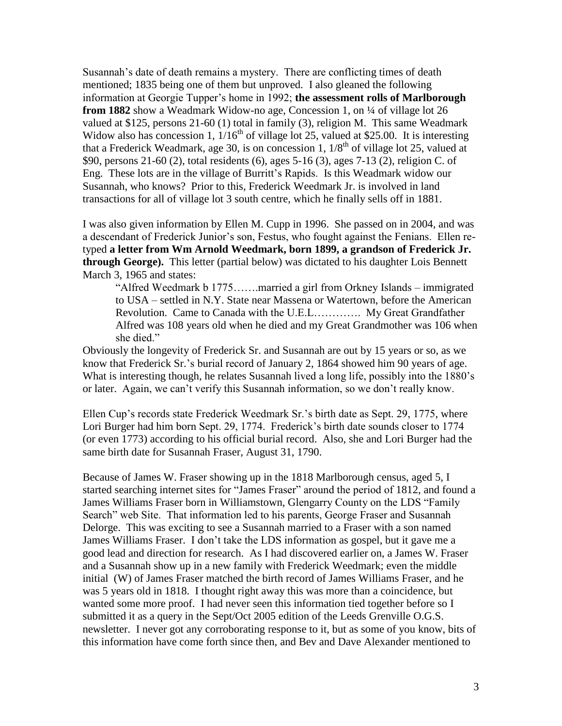Susannah's date of death remains a mystery. There are conflicting times of death mentioned; 1835 being one of them but unproved. I also gleaned the following information at Georgie Tupper's home in 1992; **the assessment rolls of Marlborough from 1882** show a Weadmark Widow-no age, Concession 1, on ¼ of village lot 26 valued at \$125, persons 21-60 (1) total in family (3), religion M. This same Weadmark Widow also has concession 1,  $1/16^{th}$  of village lot 25, valued at \$25.00. It is interesting that a Frederick Weadmark, age 30, is on concession 1,  $1/8^{th}$  of village lot 25, valued at \$90, persons 21-60 (2), total residents (6), ages 5-16 (3), ages 7-13 (2), religion C. of Eng. These lots are in the village of Burritt's Rapids. Is this Weadmark widow our Susannah, who knows? Prior to this, Frederick Weedmark Jr. is involved in land transactions for all of village lot 3 south centre, which he finally sells off in 1881.

I was also given information by Ellen M. Cupp in 1996. She passed on in 2004, and was a descendant of Frederick Junior's son, Festus, who fought against the Fenians. Ellen retyped **a letter from Wm Arnold Weedmark, born 1899, a grandson of Frederick Jr. through George).** This letter (partial below) was dictated to his daughter Lois Bennett March 3, 1965 and states:

"Alfred Weedmark b 1775…….married a girl from Orkney Islands – immigrated to USA – settled in N.Y. State near Massena or Watertown, before the American Revolution. Came to Canada with the U.E.L…………. My Great Grandfather Alfred was 108 years old when he died and my Great Grandmother was 106 when she died."

Obviously the longevity of Frederick Sr. and Susannah are out by 15 years or so, as we know that Frederick Sr.'s burial record of January 2, 1864 showed him 90 years of age. What is interesting though, he relates Susannah lived a long life, possibly into the 1880's or later. Again, we can't verify this Susannah information, so we don't really know.

Ellen Cup's records state Frederick Weedmark Sr.'s birth date as Sept. 29, 1775, where Lori Burger had him born Sept. 29, 1774. Frederick's birth date sounds closer to 1774 (or even 1773) according to his official burial record. Also, she and Lori Burger had the same birth date for Susannah Fraser, August 31, 1790.

Because of James W. Fraser showing up in the 1818 Marlborough census, aged 5, I started searching internet sites for "James Fraser" around the period of 1812, and found a James Williams Fraser born in Williamstown, Glengarry County on the LDS "Family Search" web Site. That information led to his parents, George Fraser and Susannah Delorge. This was exciting to see a Susannah married to a Fraser with a son named James Williams Fraser. I don't take the LDS information as gospel, but it gave me a good lead and direction for research. As I had discovered earlier on, a James W. Fraser and a Susannah show up in a new family with Frederick Weedmark; even the middle initial (W) of James Fraser matched the birth record of James Williams Fraser, and he was 5 years old in 1818. I thought right away this was more than a coincidence, but wanted some more proof. I had never seen this information tied together before so I submitted it as a query in the Sept/Oct 2005 edition of the Leeds Grenville O.G.S. newsletter. I never got any corroborating response to it, but as some of you know, bits of this information have come forth since then, and Bev and Dave Alexander mentioned to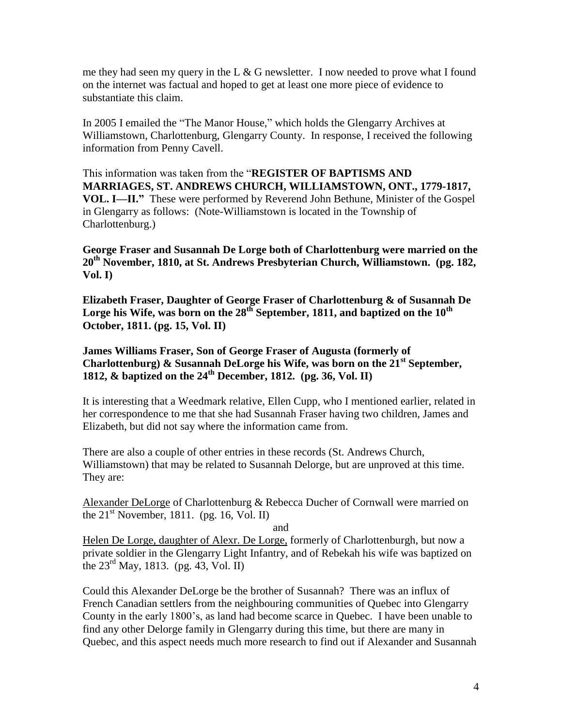me they had seen my query in the L  $\&$  G newsletter. I now needed to prove what I found on the internet was factual and hoped to get at least one more piece of evidence to substantiate this claim.

In 2005 I emailed the "The Manor House," which holds the Glengarry Archives at Williamstown, Charlottenburg, Glengarry County. In response, I received the following information from Penny Cavell.

This information was taken from the "**REGISTER OF BAPTISMS AND MARRIAGES, ST. ANDREWS CHURCH, WILLIAMSTOWN, ONT., 1779-1817, VOL. I—II.**" These were performed by Reverend John Bethune, Minister of the Gospel in Glengarry as follows: (Note-Williamstown is located in the Township of Charlottenburg.)

**George Fraser and Susannah De Lorge both of Charlottenburg were married on the 20th November, 1810, at St. Andrews Presbyterian Church, Williamstown. (pg. 182, Vol. I)**

**Elizabeth Fraser, Daughter of George Fraser of Charlottenburg & of Susannah De Lorge his Wife, was born on the 28th September, 1811, and baptized on the 10th October, 1811. (pg. 15, Vol. II)**

**James Williams Fraser, Son of George Fraser of Augusta (formerly of Charlottenburg) & Susannah DeLorge his Wife, was born on the 21st September, 1812, & baptized on the 24th December, 1812. (pg. 36, Vol. II)**

It is interesting that a Weedmark relative, Ellen Cupp, who I mentioned earlier, related in her correspondence to me that she had Susannah Fraser having two children, James and Elizabeth, but did not say where the information came from.

There are also a couple of other entries in these records (St. Andrews Church, Williamstown) that may be related to Susannah Delorge, but are unproved at this time. They are:

Alexander DeLorge of Charlottenburg & Rebecca Ducher of Cornwall were married on the  $21<sup>st</sup>$  November, 1811. (pg. 16, Vol. II)

and

Helen De Lorge, daughter of Alexr. De Lorge, formerly of Charlottenburgh, but now a private soldier in the Glengarry Light Infantry, and of Rebekah his wife was baptized on the  $23^{\text{rd}}$  May, 1813. (pg. 43, Vol. II)

Could this Alexander DeLorge be the brother of Susannah? There was an influx of French Canadian settlers from the neighbouring communities of Quebec into Glengarry County in the early 1800's, as land had become scarce in Quebec. I have been unable to find any other Delorge family in Glengarry during this time, but there are many in Quebec, and this aspect needs much more research to find out if Alexander and Susannah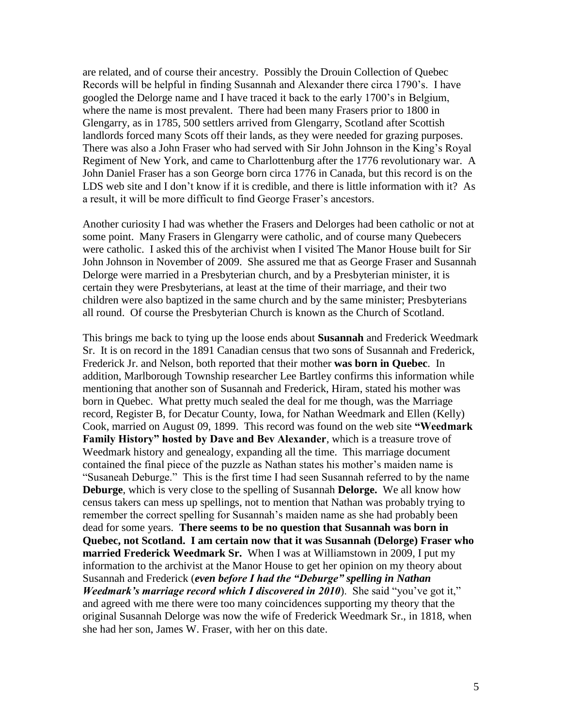are related, and of course their ancestry. Possibly the Drouin Collection of Quebec Records will be helpful in finding Susannah and Alexander there circa 1790's. I have googled the Delorge name and I have traced it back to the early 1700's in Belgium, where the name is most prevalent. There had been many Frasers prior to 1800 in Glengarry, as in 1785, 500 settlers arrived from Glengarry, Scotland after Scottish landlords forced many Scots off their lands, as they were needed for grazing purposes. There was also a John Fraser who had served with Sir John Johnson in the King's Royal Regiment of New York, and came to Charlottenburg after the 1776 revolutionary war. A John Daniel Fraser has a son George born circa 1776 in Canada, but this record is on the LDS web site and I don't know if it is credible, and there is little information with it? As a result, it will be more difficult to find George Fraser's ancestors.

Another curiosity I had was whether the Frasers and Delorges had been catholic or not at some point. Many Frasers in Glengarry were catholic, and of course many Quebecers were catholic. I asked this of the archivist when I visited The Manor House built for Sir John Johnson in November of 2009. She assured me that as George Fraser and Susannah Delorge were married in a Presbyterian church, and by a Presbyterian minister, it is certain they were Presbyterians, at least at the time of their marriage, and their two children were also baptized in the same church and by the same minister; Presbyterians all round. Of course the Presbyterian Church is known as the Church of Scotland.

This brings me back to tying up the loose ends about **Susannah** and Frederick Weedmark Sr. It is on record in the 1891 Canadian census that two sons of Susannah and Frederick, Frederick Jr. and Nelson, both reported that their mother **was born in Quebec**. In addition, Marlborough Township researcher Lee Bartley confirms this information while mentioning that another son of Susannah and Frederick, Hiram, stated his mother was born in Quebec. What pretty much sealed the deal for me though, was the Marriage record, Register B, for Decatur County, Iowa, for Nathan Weedmark and Ellen (Kelly) Cook, married on August 09, 1899. This record was found on the web site "Weedmark **Family History" hosted by Dave and Bev Alexander**, which is a treasure trove of Weedmark history and genealogy, expanding all the time. This marriage document contained the final piece of the puzzle as Nathan states his mother's maiden name is "Susaneah Deburge." This is the first time I had seen Susannah referred to by the name **Deburge**, which is very close to the spelling of Susannah **Delorge.** We all know how census takers can mess up spellings, not to mention that Nathan was probably trying to remember the correct spelling for Susannah's maiden name as she had probably been dead for some years. **There seems to be no question that Susannah was born in Quebec, not Scotland. I am certain now that it was Susannah (Delorge) Fraser who married Frederick Weedmark Sr.** When I was at Williamstown in 2009, I put my information to the archivist at the Manor House to get her opinion on my theory about Susannah and Frederick (*even before I had the "Deburge" spelling in Nathan Weedmark's marriage record which I discovered in 2010*). She said "you've got it," and agreed with me there were too many coincidences supporting my theory that the original Susannah Delorge was now the wife of Frederick Weedmark Sr., in 1818, when she had her son, James W. Fraser, with her on this date.